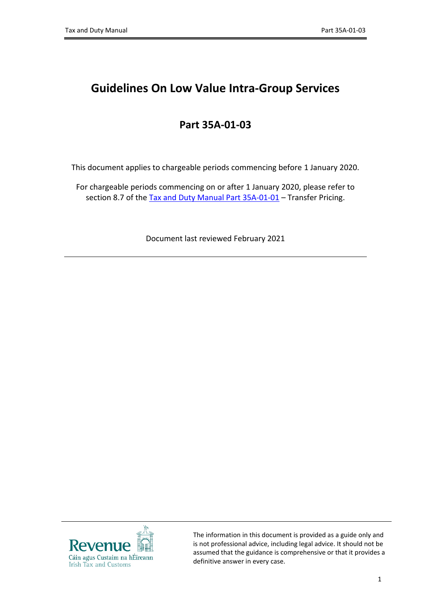# **Guidelines On Low Value Intra-Group Services**

## **Part 35A-01-03**

This document applies to chargeable periods commencing before 1 January 2020.

For chargeable periods commencing on or after 1 January 2020, please refer to section 8.7 of the [Tax](https://revenue.ie/en/tax-professionals/tdm/income-tax-capital-gains-tax-corporation-tax/part-35a/35a-01-01.pdf) [and](https://revenue.ie/en/tax-professionals/tdm/income-tax-capital-gains-tax-corporation-tax/part-35a/35a-01-01.pdf) [Duty](https://revenue.ie/en/tax-professionals/tdm/income-tax-capital-gains-tax-corporation-tax/part-35a/35a-01-01.pdf) [Manual](https://revenue.ie/en/tax-professionals/tdm/income-tax-capital-gains-tax-corporation-tax/part-35a/35a-01-01.pdf) [Part](https://revenue.ie/en/tax-professionals/tdm/income-tax-capital-gains-tax-corporation-tax/part-35a/35a-01-01.pdf) [35A-01-01](https://revenue.ie/en/tax-professionals/tdm/income-tax-capital-gains-tax-corporation-tax/part-35a/35a-01-01.pdf) - Transfer Pricing.

Document last reviewed February 2021



The information in this document is provided as a guide only and is not professional advice, including legal advice. It should not be assumed that the guidance is comprehensive or that it provides a definitive answer in every case.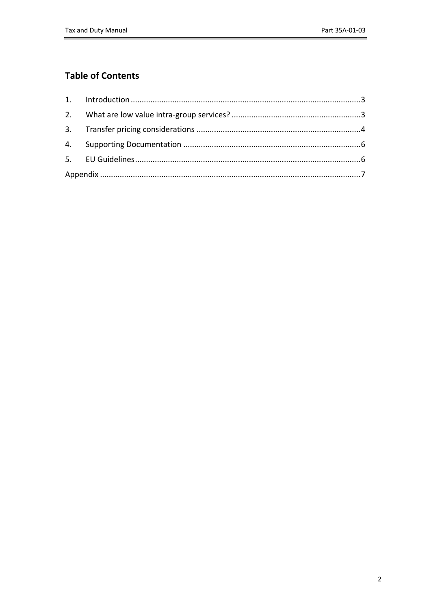### **Table of Contents**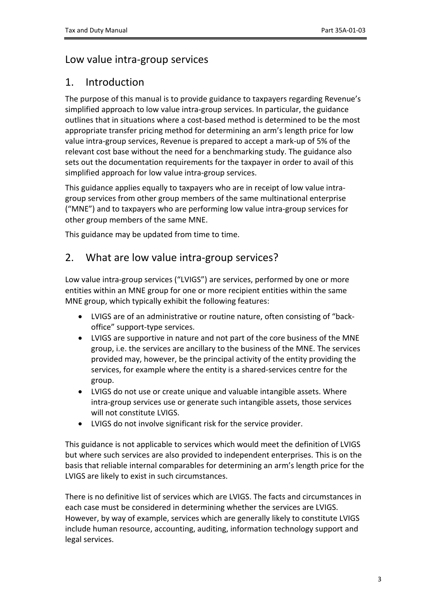### Low value intra-group services

### <span id="page-2-0"></span>1. Introduction

The purpose of this manual is to provide guidance to taxpayers regarding Revenue's simplified approach to low value intra-group services. In particular, the guidance outlines that in situations where a cost-based method is determined to be the most appropriate transfer pricing method for determining an arm's length price for low value intra-group services, Revenue is prepared to accept a mark-up of 5% of the relevant cost base without the need for a benchmarking study. The guidance also sets out the documentation requirements for the taxpayer in order to avail of this simplified approach for low value intra-group services.

This guidance applies equally to taxpayers who are in receipt of low value intragroup services from other group members of the same multinational enterprise ("MNE") and to taxpayers who are performing low value intra-group services for other group members of the same MNE.

This guidance may be updated from time to time.

### <span id="page-2-1"></span>2. What are low value intra-group services?

Low value intra-group services ("LVIGS") are services, performed by one or more entities within an MNE group for one or more recipient entities within the same MNE group, which typically exhibit the following features:

- LVIGS are of an administrative or routine nature, often consisting of "backoffice" support-type services.
- LVIGS are supportive in nature and not part of the core business of the MNE group, i.e. the services are ancillary to the business of the MNE. The services provided may, however, be the principal activity of the entity providing the services, for example where the entity is a shared-services centre for the group.
- LVIGS do not use or create unique and valuable intangible assets. Where intra-group services use or generate such intangible assets, those services will not constitute LVIGS.
- LVIGS do not involve significant risk for the service provider.

This guidance is not applicable to services which would meet the definition of LVIGS but where such services are also provided to independent enterprises. This is on the basis that reliable internal comparables for determining an arm's length price for the LVIGS are likely to exist in such circumstances.

There is no definitive list of services which are LVIGS. The facts and circumstances in each case must be considered in determining whether the services are LVIGS. However, by way of example, services which are generally likely to constitute LVIGS include human resource, accounting, auditing, information technology support and legal services.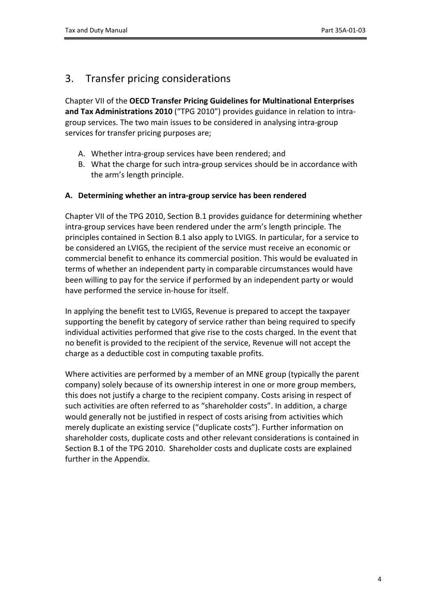# <span id="page-3-0"></span>3. Transfer pricing considerations

Chapter VII of the **OECD Transfer Pricing Guidelines for Multinational Enterprises and Tax Administrations 2010** ("TPG 2010") provides guidance in relation to intragroup services. The two main issues to be considered in analysing intra-group services for transfer pricing purposes are;

- A. Whether intra-group services have been rendered; and
- B. What the charge for such intra-group services should be in accordance with the arm's length principle.

#### **A. Determining whether an intra-group service has been rendered**

Chapter VII of the TPG 2010, Section B.1 provides guidance for determining whether intra-group services have been rendered under the arm's length principle. The principles contained in Section B.1 also apply to LVIGS. In particular, for a service to be considered an LVIGS, the recipient of the service must receive an economic or commercial benefit to enhance its commercial position. This would be evaluated in terms of whether an independent party in comparable circumstances would have been willing to pay for the service if performed by an independent party or would have performed the service in-house for itself.

In applying the benefit test to LVIGS, Revenue is prepared to accept the taxpayer supporting the benefit by category of service rather than being required to specify individual activities performed that give rise to the costs charged. In the event that no benefit is provided to the recipient of the service, Revenue will not accept the charge as a deductible cost in computing taxable profits.

Where activities are performed by a member of an MNE group (typically the parent company) solely because of its ownership interest in one or more group members, this does not justify a charge to the recipient company. Costs arising in respect of such activities are often referred to as "shareholder costs". In addition, a charge would generally not be justified in respect of costs arising from activities which merely duplicate an existing service ("duplicate costs"). Further information on shareholder costs, duplicate costs and other relevant considerations is contained in Section B.1 of the TPG 2010. Shareholder costs and duplicate costs are explained further in the Appendix.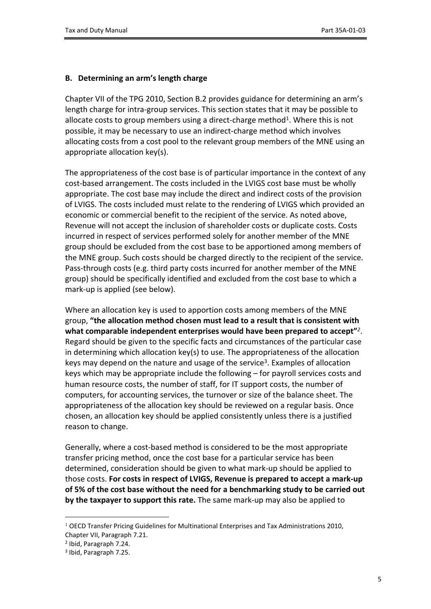#### **B. Determining an arm's length charge**

Chapter VII of the TPG 2010, Section B.2 provides guidance for determining an arm's length charge for intra-group services. This section states that it may be possible to allocate costs to group members using a direct-charge method<sup>1</sup>. Where this is not possible, it may be necessary to use an indirect-charge method which involves allocating costs from a cost pool to the relevant group members of the MNE using an appropriate allocation key(s).

The appropriateness of the cost base is of particular importance in the context of any cost-based arrangement. The costs included in the LVIGS cost base must be wholly appropriate. The cost base may include the direct and indirect costs of the provision of LVIGS. The costs included must relate to the rendering of LVIGS which provided an economic or commercial benefit to the recipient of the service. As noted above, Revenue will not accept the inclusion of shareholder costs or duplicate costs. Costs incurred in respect of services performed solely for another member of the MNE group should be excluded from the cost base to be apportioned among members of the MNE group. Such costs should be charged directly to the recipient of the service. Pass-through costs (e.g. third party costs incurred for another member of the MNE group) should be specifically identified and excluded from the cost base to which a mark-up is applied (see below).

Where an allocation key is used to apportion costs among members of the MNE group, **"the allocation method chosen must lead to a result that is consistent with what comparable independent enterprises would have been prepared to accept"***<sup>2</sup>* . Regard should be given to the specific facts and circumstances of the particular case in determining which allocation key(s) to use. The appropriateness of the allocation keys may depend on the nature and usage of the service<sup>3</sup>. Examples of allocation keys which may be appropriate include the following – for payroll services costs and human resource costs, the number of staff, for IT support costs, the number of computers, for accounting services, the turnover or size of the balance sheet. The appropriateness of the allocation key should be reviewed on a regular basis. Once chosen, an allocation key should be applied consistently unless there is a justified reason to change.

Generally, where a cost-based method is considered to be the most appropriate transfer pricing method, once the cost base for a particular service has been determined, consideration should be given to what mark-up should be applied to those costs. **For costs in respect of LVIGS, Revenue is prepared to accept a mark-up of 5% of the cost base without the need for a benchmarking study to be carried out by the taxpayer to support this rate.** The same mark-up may also be applied to

 $1$  OECD Transfer Pricing Guidelines for Multinational Enterprises and Tax Administrations 2010, Chapter VII, Paragraph 7.21.

<sup>2</sup> Ibid, Paragraph 7.24.

<sup>3</sup> Ibid, Paragraph 7.25.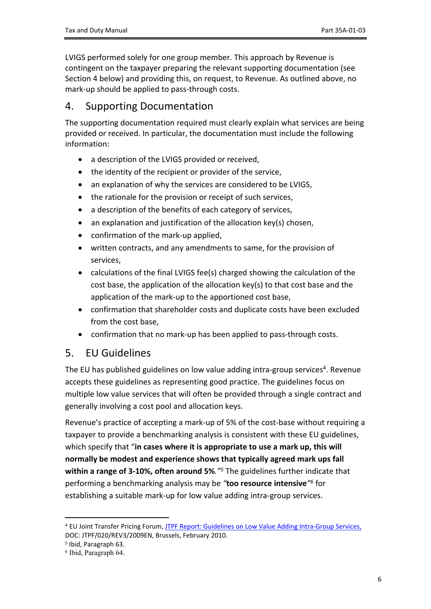LVIGS performed solely for one group member. This approach by Revenue is contingent on the taxpayer preparing the relevant supporting documentation (see Section 4 below) and providing this, on request, to Revenue. As outlined above, no mark-up should be applied to pass-through costs.

### <span id="page-5-0"></span>4. Supporting Documentation

The supporting documentation required must clearly explain what services are being provided or received. In particular, the documentation must include the following information:

- a description of the LVIGS provided or received,
- the identity of the recipient or provider of the service.
- an explanation of why the services are considered to be LVIGS,
- the rationale for the provision or receipt of such services,
- a description of the benefits of each category of services,
- an explanation and justification of the allocation key(s) chosen,
- confirmation of the mark-up applied,
- written contracts, and any amendments to same, for the provision of services,
- calculations of the final LVIGS fee(s) charged showing the calculation of the cost base, the application of the allocation key(s) to that cost base and the application of the mark-up to the apportioned cost base,
- confirmation that shareholder costs and duplicate costs have been excluded from the cost base,
- confirmation that no mark-up has been applied to pass-through costs.

### <span id="page-5-1"></span>5. EU Guidelines

The EU has published guidelines on low value adding intra-group services<sup>4</sup>. Revenue accepts these guidelines as representing good practice. The guidelines focus on multiple low value services that will often be provided through a single contract and generally involving a cost pool and allocation keys.

Revenue's practice of accepting a mark-up of 5% of the cost-base without requiring a taxpayer to provide a benchmarking analysis is consistent with these EU guidelines, which specify that "**in cases where it is appropriate to use a mark up, this will normally be modest and experience shows that typically agreed mark ups fall within a range of 3-10%, often around 5%***."<sup>5</sup>* The guidelines further indicate that performing a benchmarking analysis may be *"***too resource intensive***" 6* for establishing a suitable mark-up for low value adding intra-group services.

<sup>4</sup> EU Joint Transfer Pricing Forum, [JTPF](https://ec.europa.eu/taxation_customs/system/files/2016-09/c_2011_16_en.pdf) [Report:](https://ec.europa.eu/taxation_customs/system/files/2016-09/c_2011_16_en.pdf) [Guidelines](https://ec.europa.eu/taxation_customs/system/files/2016-09/c_2011_16_en.pdf) [on](https://ec.europa.eu/taxation_customs/system/files/2016-09/c_2011_16_en.pdf) [Low](https://ec.europa.eu/taxation_customs/system/files/2016-09/c_2011_16_en.pdf) [Value](https://ec.europa.eu/taxation_customs/system/files/2016-09/c_2011_16_en.pdf) [Adding](https://ec.europa.eu/taxation_customs/system/files/2016-09/c_2011_16_en.pdf) [Intra-Group](https://ec.europa.eu/taxation_customs/system/files/2016-09/c_2011_16_en.pdf) [Services,](https://ec.europa.eu/taxation_customs/system/files/2016-09/c_2011_16_en.pdf) DOC: JTPF/020/REV3/2009EN, Brussels, February 2010.

<sup>5</sup> Ibid, Paragraph 63.

<sup>6</sup> Ibid, Paragraph 64.